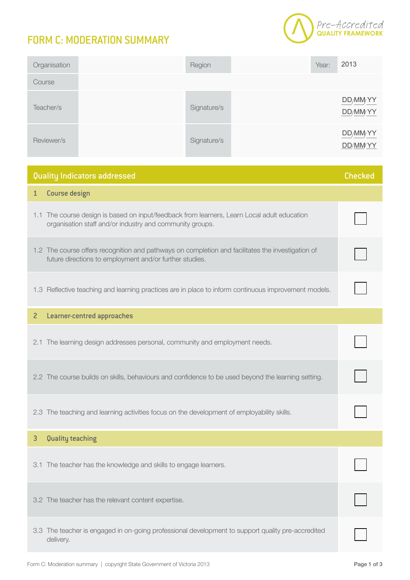## FORM C: MODERATION SUMMARY



| Organisation | Region      | Year: | 2013                           |
|--------------|-------------|-------|--------------------------------|
| Course       |             |       |                                |
| Teacher/s    | Signature/s |       | DD/MM/YY<br>DD/MMYY            |
| Reviewer/s   | Signature/s |       | DD/MM <sub>YY</sub><br>DD/MMYY |

| Quality Indicators addressed                                                                                                                                 |  |
|--------------------------------------------------------------------------------------------------------------------------------------------------------------|--|
| <b>Course design</b><br>$\mathbf{1}$                                                                                                                         |  |
| 1.1 The course design is based on input/feedback from learners, Learn Local adult education<br>organisation staff and/or industry and community groups.      |  |
| 1.2 The course offers recognition and pathways on completion and facilitates the investigation of<br>future directions to employment and/or further studies. |  |
| 1.3 Reflective teaching and learning practices are in place to inform continuous improvement models.                                                         |  |
| <b>Learner-centred approaches</b><br>$\overline{c}$                                                                                                          |  |
| 2.1 The learning design addresses personal, community and employment needs.                                                                                  |  |
| 2.2 The course builds on skills, behaviours and confidence to be used beyond the learning setting.                                                           |  |
| 2.3 The teaching and learning activities focus on the development of employability skills.                                                                   |  |
| Quality teaching<br>3                                                                                                                                        |  |
| The teacher has the knowledge and skills to engage learners.<br>3.1                                                                                          |  |
| 3.2 The teacher has the relevant content expertise.                                                                                                          |  |
| 3.3 The teacher is engaged in on-going professional development to support quality pre-accredited<br>delivery.                                               |  |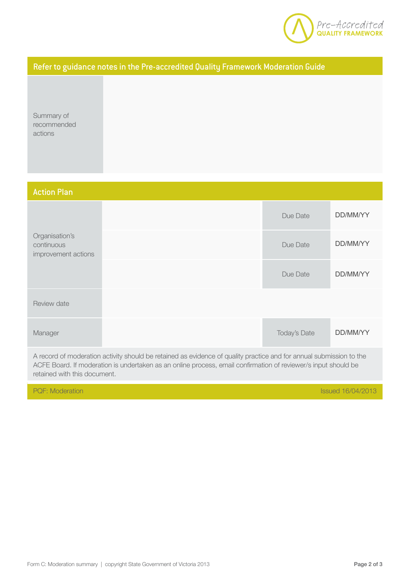

## Refer to guidance notes in the Pre-accredited Quality Framework Moderation Guide

Summary of recommended actions

| <b>Action Plan</b>                                  |                                                                                                                                                                                                                                       |              |                          |
|-----------------------------------------------------|---------------------------------------------------------------------------------------------------------------------------------------------------------------------------------------------------------------------------------------|--------------|--------------------------|
|                                                     |                                                                                                                                                                                                                                       | Due Date     | DD/MM/YY                 |
| Organisation's<br>continuous<br>improvement actions |                                                                                                                                                                                                                                       | Due Date     | DD/MM/YY                 |
|                                                     |                                                                                                                                                                                                                                       | Due Date     | DD/MM/YY                 |
| Review date                                         |                                                                                                                                                                                                                                       |              |                          |
| Manager                                             |                                                                                                                                                                                                                                       | Today's Date | DD/MM/YY                 |
| retained with this document.                        | A record of moderation activity should be retained as evidence of quality practice and for annual submission to the<br>ACFE Board. If moderation is undertaken as an online process, email confirmation of reviewer/s input should be |              |                          |
| <b>PQF: Moderation</b>                              |                                                                                                                                                                                                                                       |              | <b>Issued 16/04/2013</b> |
|                                                     |                                                                                                                                                                                                                                       |              |                          |
|                                                     | Form C: Moderation summary   copyright State Government of Victoria 2013                                                                                                                                                              |              | Page 2 of 3              |